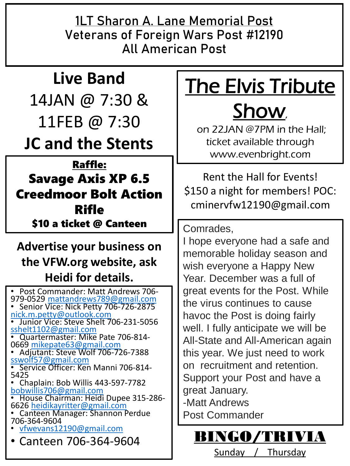**1LT Sharon A. Lane Memorial Post Veterans of Foreign Wars Post #12190 All American Post**

## **Live Band** 14JAN @ 7:30 & 11FEB @ 7:30 **JC and the Stents**

### Raffle: Savage Axis XP 6.5 Creedmoor Bolt Action Rifle \$10 a ticket @ Canteen

### **Advertise your business on the VFW.org website, ask Heidi for details.**

• Post Commander: Matt Andrews 706- 979-0529 [mattandrews789@gmail.com](mailto:mattandrews789@gmail.com) • Senior Vice: Nick Petty 706-726-2875 [nick.m.petty@outlook.com](mailto:nick.m.petty@outlook.com) • Junior Vice: Steve Shelt 706-231-5056 [sshelt1102@gmail.com](mailto:sshelt1102@gmail.com) • Quartermaster: Mike Pate 706-814- 0669 [mikepate63@gmail.com](mailto:mikepate63@gmail.com) • Adjutant: Steve Wolf 706-726-7388 [sswolf57@gmail.com](mailto:sswolf57@gmail.com) • Service Officer: Ken Manni 706-814-5425 • Chaplain: Bob Willis 443-597-7782 [bobwillis706@gmail.com](mailto:bobwillis706@gmail.com) • House Chairman: Heidi Dupee 315-286- 6626 [heidikayritter@gmail.com](mailto:heidikayritter@gmail.com) • Canteen Manager: Shannon Perdue 706-364-9604 • [vfwevans12190@gmail.com](mailto:vfwevans12190@gmail.com)  $\cdot$  Canteen 706-364-9604 BINGO/TRIVIA

# The Elvis Tribute

## Show,

on 22JAN @7PM in the Hall; ticket available through www.evenbright.com

Rent the Hall for Events! \$150 a night for members! POC: cminervfw12190@gmail.com

Comrades,

I hope everyone had a safe and memorable holiday season and wish everyone a Happy New Year. December was a full of great events for the Post. While the virus continues to cause havoc the Post is doing fairly well. I fully anticipate we will be All-State and All-American again this year. We just need to work on recruitment and retention. Support your Post and have a great January. -Matt Andrews Post Commander

Sunday / Thursday